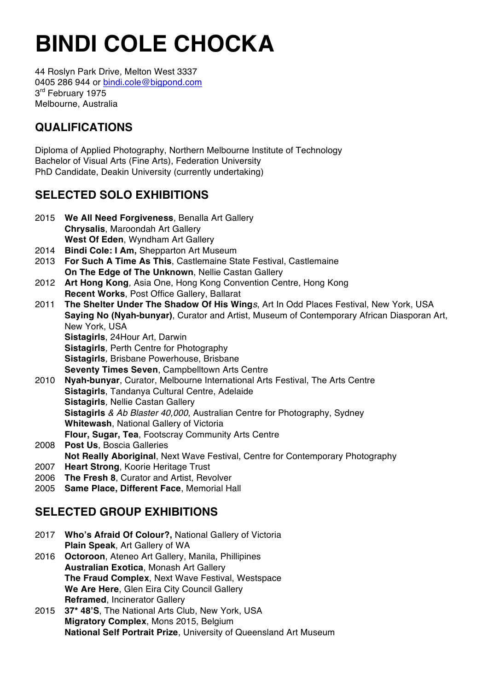44 Roslyn Park Drive, Melton West 3337 0405 286 944 or bindi.cole@bigpond.com 3<sup>rd</sup> February 1975 Melbourne, Australia

### **QUALIFICATIONS**

Diploma of Applied Photography, Northern Melbourne Institute of Technology Bachelor of Visual Arts (Fine Arts), Federation University PhD Candidate, Deakin University (currently undertaking)

### **SELECTED SOLO EXHIBITIONS**

- 2015 **We All Need Forgiveness**, Benalla Art Gallery **Chrysalis**, Maroondah Art Gallery **West Of Eden**, Wyndham Art Gallery
- 2014 **Bindi Cole: I Am,** Shepparton Art Museum
- 2013 **For Such A Time As This**, Castlemaine State Festival, Castlemaine **On The Edge of The Unknown**, Nellie Castan Gallery
- 2012 **Art Hong Kong***,* Asia One, Hong Kong Convention Centre, Hong Kong **Recent Works**, Post Office Gallery, Ballarat
- 2011 **The Shelter Under The Shadow Of His Wing***s*, Art In Odd Places Festival, New York, USA **Saying No (Nyah-bunyar)**, Curator and Artist, Museum of Contemporary African Diasporan Art, New York, USA **Sistagirls**, 24Hour Art, Darwin **Sistagirls***,* Perth Centre for Photography **Sistagirls***,* Brisbane Powerhouse, Brisbane **Seventy Times Seven**, Campbelltown Arts Centre 2010 **Nyah-bunyar**, Curator, Melbourne International Arts Festival, The Arts Centre
- **Sistagirls**, Tandanya Cultural Centre, Adelaide **Sistagirls***,* Nellie Castan Gallery **Sistagirls** *& Ab Blaster 40,000*, Australian Centre for Photography, Sydney **Whitewash**, National Gallery of Victoria **Flour, Sugar, Tea**, Footscray Community Arts Centre
- 2008 **Post Us**, Boscia Galleries **Not Really Aboriginal**, Next Wave Festival, Centre for Contemporary Photography 2007 **Heart Strong**, Koorie Heritage Trust
- 2006 **The Fresh 8**, Curator and Artist, Revolver
- 2005 **Same Place, Different Face**, Memorial Hall

### **SELECTED GROUP EXHIBITIONS**

- 2017 **Who's Afraid Of Colour?,** National Gallery of Victoria **Plain Speak**, Art Gallery of WA
- 2016 **Octoroon**, Ateneo Art Gallery, Manila, Phillipines **Australian Exotica**, Monash Art Gallery **The Fraud Complex**, Next Wave Festival, Westspace **We Are Here**, Glen Eira City Council Gallery **Reframed**, Incinerator Gallery
- 2015 **37\* 48'S**, The National Arts Club, New York, USA **Migratory Complex**, Mons 2015, Belgium **National Self Portrait Prize**, University of Queensland Art Museum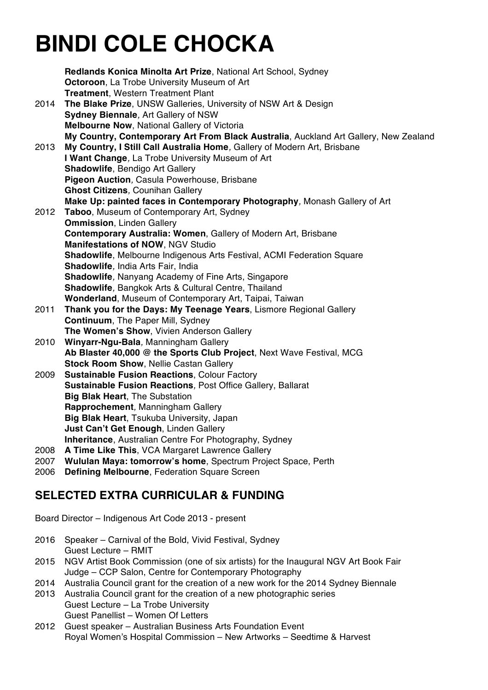|              | Redlands Konica Minolta Art Prize, National Art School, Sydney<br>Octoroon, La Trobe University Museum of Art<br><b>Treatment, Western Treatment Plant</b> |
|--------------|------------------------------------------------------------------------------------------------------------------------------------------------------------|
| 2014         | The Blake Prize, UNSW Galleries, University of NSW Art & Design                                                                                            |
|              | Sydney Biennale, Art Gallery of NSW                                                                                                                        |
|              | Melbourne Now, National Gallery of Victoria                                                                                                                |
|              | My Country, Contemporary Art From Black Australia, Auckland Art Gallery, New Zealand                                                                       |
| 2013         | My Country, I Still Call Australia Home, Gallery of Modern Art, Brisbane                                                                                   |
|              | I Want Change, La Trobe University Museum of Art                                                                                                           |
|              | Shadowlife, Bendigo Art Gallery                                                                                                                            |
|              | Pigeon Auction, Casula Powerhouse, Brisbane                                                                                                                |
|              | <b>Ghost Citizens, Counihan Gallery</b>                                                                                                                    |
|              | Make Up: painted faces in Contemporary Photography, Monash Gallery of Art                                                                                  |
| 2012         | Taboo, Museum of Contemporary Art, Sydney                                                                                                                  |
|              | <b>Ommission, Linden Gallery</b>                                                                                                                           |
|              | Contemporary Australia: Women, Gallery of Modern Art, Brisbane                                                                                             |
|              | Manifestations of NOW, NGV Studio                                                                                                                          |
|              | Shadowlife, Melbourne Indigenous Arts Festival, ACMI Federation Square                                                                                     |
|              | Shadowlife, India Arts Fair, India                                                                                                                         |
|              | <b>Shadowlife, Nanyang Academy of Fine Arts, Singapore</b>                                                                                                 |
|              | Shadowlife, Bangkok Arts & Cultural Centre, Thailand                                                                                                       |
|              | Wonderland, Museum of Contemporary Art, Taipai, Taiwan                                                                                                     |
| 2011         | Thank you for the Days: My Teenage Years, Lismore Regional Gallery                                                                                         |
|              | Continuum, The Paper Mill, Sydney                                                                                                                          |
|              | The Women's Show, Vivien Anderson Gallery                                                                                                                  |
| 2010         | Winyarr-Ngu-Bala, Manningham Gallery                                                                                                                       |
|              | Ab Blaster 40,000 @ the Sports Club Project, Next Wave Festival, MCG                                                                                       |
|              | Stock Room Show, Nellie Castan Gallery                                                                                                                     |
| 2009         | <b>Sustainable Fusion Reactions, Colour Factory</b>                                                                                                        |
|              | Sustainable Fusion Reactions, Post Office Gallery, Ballarat                                                                                                |
|              | <b>Big Blak Heart, The Substation</b>                                                                                                                      |
|              | Rapprochement, Manningham Gallery                                                                                                                          |
|              | Big Blak Heart, Tsukuba University, Japan                                                                                                                  |
|              | Just Can't Get Enough, Linden Gallery                                                                                                                      |
|              | <b>Inheritance, Australian Centre For Photography, Sydney</b>                                                                                              |
| 2008<br>2007 | A Time Like This, VCA Margaret Lawrence Gallery<br>Wululan Maya: tomorrow's home, Spectrum Project Space, Perth                                            |
| 2006         | Defining Melbourne, Federation Square Screen                                                                                                               |
|              |                                                                                                                                                            |

#### **SELECTED EXTRA CURRICULAR & FUNDING**

Board Director – Indigenous Art Code 2013 - present

- 2016 Speaker Carnival of the Bold, Vivid Festival, Sydney Guest Lecture – RMIT
- 2015 NGV Artist Book Commission (one of six artists) for the Inaugural NGV Art Book Fair Judge – CCP Salon, Centre for Contemporary Photography
- 2014 Australia Council grant for the creation of a new work for the 2014 Sydney Biennale
- 2013 Australia Council grant for the creation of a new photographic series Guest Lecture – La Trobe University Guest Panellist – Women Of Letters
- 2012 Guest speaker Australian Business Arts Foundation Event Royal Women's Hospital Commission – New Artworks – Seedtime & Harvest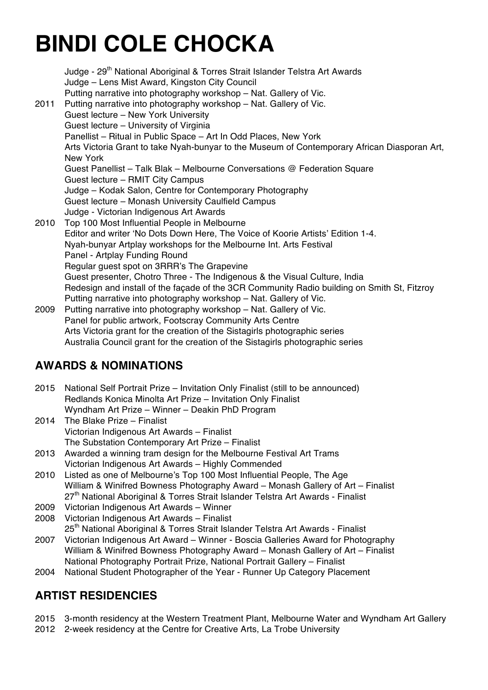| 2011 | Judge - 29 <sup>th</sup> National Aboriginal & Torres Strait Islander Telstra Art Awards<br>Judge - Lens Mist Award, Kingston City Council<br>Putting narrative into photography workshop - Nat. Gallery of Vic.<br>Putting narrative into photography workshop - Nat. Gallery of Vic.<br>Guest lecture - New York University<br>Guest lecture - University of Virginia |
|------|-------------------------------------------------------------------------------------------------------------------------------------------------------------------------------------------------------------------------------------------------------------------------------------------------------------------------------------------------------------------------|
|      | Panellist - Ritual in Public Space - Art In Odd Places, New York                                                                                                                                                                                                                                                                                                        |
|      | Arts Victoria Grant to take Nyah-bunyar to the Museum of Contemporary African Diasporan Art,<br>New York                                                                                                                                                                                                                                                                |
|      | Guest Panellist - Talk Blak - Melbourne Conversations @ Federation Square                                                                                                                                                                                                                                                                                               |
|      | Guest lecture - RMIT City Campus                                                                                                                                                                                                                                                                                                                                        |
|      | Judge - Kodak Salon, Centre for Contemporary Photography                                                                                                                                                                                                                                                                                                                |
|      | Guest lecture - Monash University Caulfield Campus                                                                                                                                                                                                                                                                                                                      |
|      | Judge - Victorian Indigenous Art Awards                                                                                                                                                                                                                                                                                                                                 |
| 2010 | Top 100 Most Influential People in Melbourne                                                                                                                                                                                                                                                                                                                            |
|      | Editor and writer 'No Dots Down Here, The Voice of Koorie Artists' Edition 1-4.                                                                                                                                                                                                                                                                                         |
|      | Nyah-bunyar Artplay workshops for the Melbourne Int. Arts Festival                                                                                                                                                                                                                                                                                                      |
|      | Panel - Artplay Funding Round                                                                                                                                                                                                                                                                                                                                           |
|      | Regular guest spot on 3RRR's The Grapevine                                                                                                                                                                                                                                                                                                                              |
|      | Guest presenter, Chotro Three - The Indigenous & the Visual Culture, India                                                                                                                                                                                                                                                                                              |
|      | Redesign and install of the façade of the 3CR Community Radio building on Smith St, Fitzroy                                                                                                                                                                                                                                                                             |
|      | Putting narrative into photography workshop - Nat. Gallery of Vic.                                                                                                                                                                                                                                                                                                      |
| 2009 | Putting narrative into photography workshop - Nat. Gallery of Vic.                                                                                                                                                                                                                                                                                                      |
|      | Panel for public artwork, Footscray Community Arts Centre                                                                                                                                                                                                                                                                                                               |
|      | Arts Victoria grant for the creation of the Sistagirls photographic series                                                                                                                                                                                                                                                                                              |
|      | Australia Council grant for the creation of the Sistagirls photographic series                                                                                                                                                                                                                                                                                          |

#### **AWARDS & NOMINATIONS**

- 2015 National Self Portrait Prize Invitation Only Finalist (still to be announced) Redlands Konica Minolta Art Prize – Invitation Only Finalist Wyndham Art Prize – Winner – Deakin PhD Program
- 2014 The Blake Prize Finalist Victorian Indigenous Art Awards – Finalist The Substation Contemporary Art Prize – Finalist
- 2013 Awarded a winning tram design for the Melbourne Festival Art Trams Victorian Indigenous Art Awards – Highly Commended
- 2010 Listed as one of Melbourne's Top 100 Most Influential People, The Age William & Winifred Bowness Photography Award – Monash Gallery of Art – Finalist 27<sup>th</sup> National Aboriginal & Torres Strait Islander Telstra Art Awards - Finalist
- 2009 Victorian Indigenous Art Awards Winner
- 2008 Victorian Indigenous Art Awards Finalist

25<sup>th</sup> National Aboriginal & Torres Strait Islander Telstra Art Awards - Finalist

- 2007 Victorian Indigenous Art Award Winner Boscia Galleries Award for Photography William & Winifred Bowness Photography Award – Monash Gallery of Art – Finalist National Photography Portrait Prize, National Portrait Gallery – Finalist
- 2004 National Student Photographer of the Year Runner Up Category Placement

#### **ARTIST RESIDENCIES**

- 2015 3-month residency at the Western Treatment Plant, Melbourne Water and Wyndham Art Gallery
- 2012 2-week residency at the Centre for Creative Arts, La Trobe University